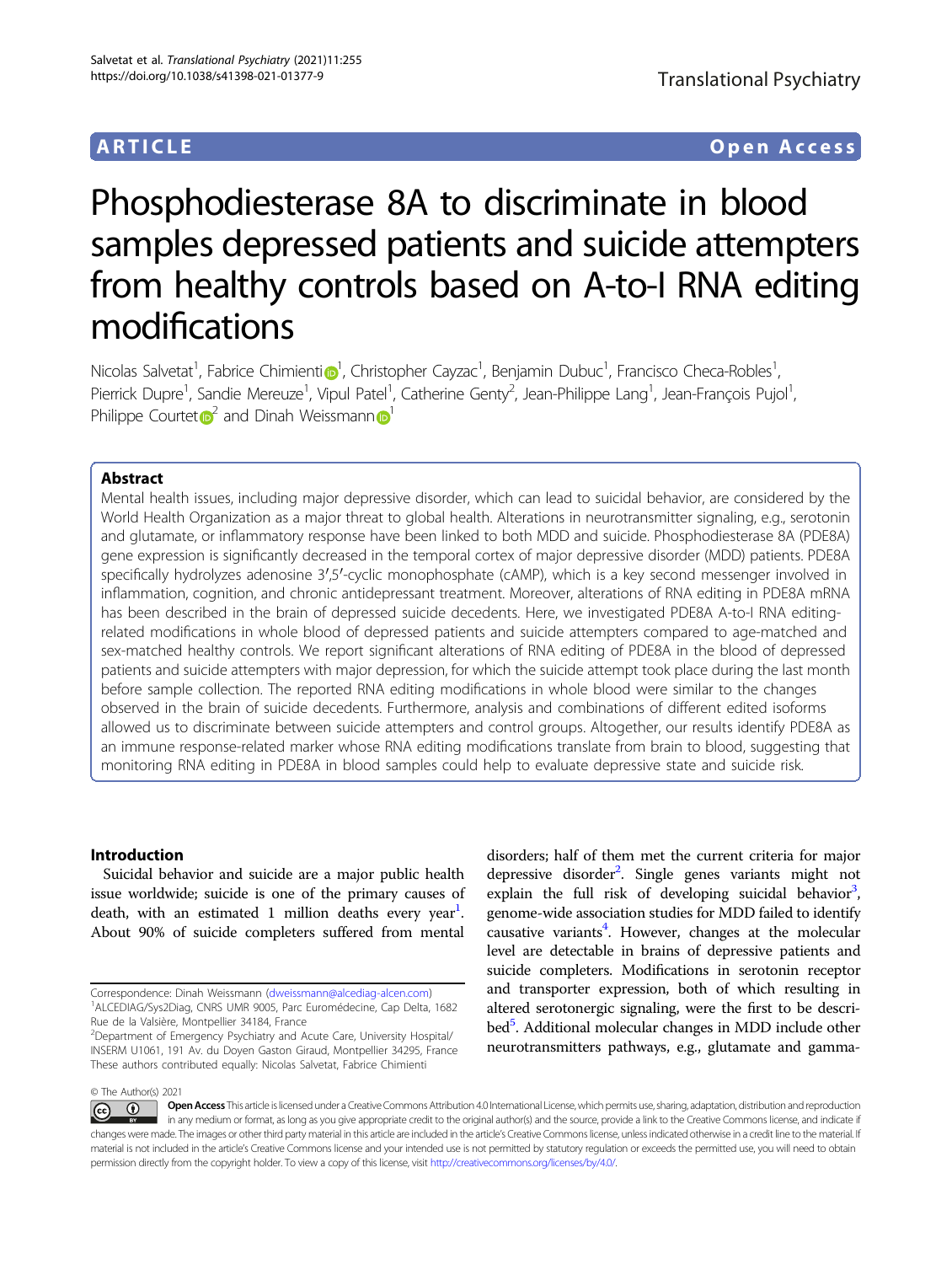## ARTICLE Open Access

# Phosphodiesterase 8A to discriminate in blood samples depressed patients and suicide attempters from healthy controls based on A-to-I RNA editing modifications

N[i](http://orcid.org/0000-0002-9907-3394)colas Salvetat<sup>[1](http://orcid.org/0000-0002-9907-3394)</sup>, Fabrice Chimienti®<sup>1</sup>, Christopher Cayzac<sup>1</sup>, Benjamin Dubuc<sup>1</sup>, Francisco Checa-Robles<sup>1</sup> , Pierrick Dupre<sup>1</sup>, Sandie Mereuze<sup>1</sup>, Vipul Patel<sup>1</sup>, Catherine Genty<sup>2</sup>, Jean-Philippe Lang<sup>1</sup>, Jean-François Pujol<sup>1</sup> , Philippe Cour[t](http://orcid.org/0000-0002-6519-8586)et  $\mathbb{R}^2$  $\mathbb{R}^2$  and Dinah Weissmann  $\mathbb{R}^1$  $\mathbb{R}^1$ 

#### Abstract

Mental health issues, including major depressive disorder, which can lead to suicidal behavior, are considered by the World Health Organization as a major threat to global health. Alterations in neurotransmitter signaling, e.g., serotonin and glutamate, or inflammatory response have been linked to both MDD and suicide. Phosphodiesterase 8A (PDE8A) gene expression is significantly decreased in the temporal cortex of major depressive disorder (MDD) patients. PDE8A specifically hydrolyzes adenosine 3′,5′-cyclic monophosphate (cAMP), which is a key second messenger involved in inflammation, cognition, and chronic antidepressant treatment. Moreover, alterations of RNA editing in PDE8A mRNA has been described in the brain of depressed suicide decedents. Here, we investigated PDE8A A-to-I RNA editingrelated modifications in whole blood of depressed patients and suicide attempters compared to age-matched and sex-matched healthy controls. We report significant alterations of RNA editing of PDE8A in the blood of depressed patients and suicide attempters with major depression, for which the suicide attempt took place during the last month before sample collection. The reported RNA editing modifications in whole blood were similar to the changes observed in the brain of suicide decedents. Furthermore, analysis and combinations of different edited isoforms allowed us to discriminate between suicide attempters and control groups. Altogether, our results identify PDE8A as an immune response-related marker whose RNA editing modifications translate from brain to blood, suggesting that monitoring RNA editing in PDE8A in blood samples could help to evaluate depressive state and suicide risk.

#### Introduction

Suicidal behavior and suicide are a major public health issue worldwide; suicide is one of the primary causes of death, with an estimated 1 million deaths every year<sup>1</sup>. About 90% of suicide completers suffered from mental

Rue de la Valsière, Montpellier 34184, France

disorders; half of them met the current criteria for major depressive disorder<sup>2</sup>. Single genes variants might not explain the full risk of developing suicidal behavior<sup>3</sup>, genome-wide association studies for MDD failed to identify causative variants<sup>4</sup>. However, changes at the molecular level are detectable in brains of depressive patients and suicide completers. Modifications in serotonin receptor and transporter expression, both of which resulting in altered serotonergic signaling, were the first to be described<sup>5</sup>. Additional molecular changes in MDD include other neurotransmitters pathways, e.g., glutamate and gamma-

© The Author(s) 2021

Open Access This article is licensed under a Creative Commons Attribution 4.0 International License, which permits use, sharing, adaptation, distribution and reproduction  $\bigcirc$  $\left[{\rm (cc)}\right]$ in any medium or format, as long as you give appropriate credit to the original author(s) and the source, provide a link to the Creative Commons license, and indicate if changes were made. The images or other third party material in this article are included in the article's Creative Commons license, unless indicated otherwise in a credit line to the material. If material is not included in the article's Creative Commons license and your intended use is not permitted by statutory regulation or exceeds the permitted use, you will need to obtain permission directly from the copyright holder. To view a copy of this license, visit <http://creativecommons.org/licenses/by/4.0/>.

Correspondence: Dinah Weissmann [\(dweissmann@alcediag-alcen.com\)](mailto:dweissmann@alcediag-alcen.com) <sup>1</sup> ALCEDIAG/Sys2Diag, CNRS UMR 9005, Parc Euromédecine, Cap Delta, 1682

<sup>&</sup>lt;sup>2</sup> Department of Emergency Psychiatry and Acute Care, University Hospital/ INSERM U1061, 191 Av. du Doyen Gaston Giraud, Montpellier 34295, France These authors contributed equally: Nicolas Salvetat, Fabrice Chimienti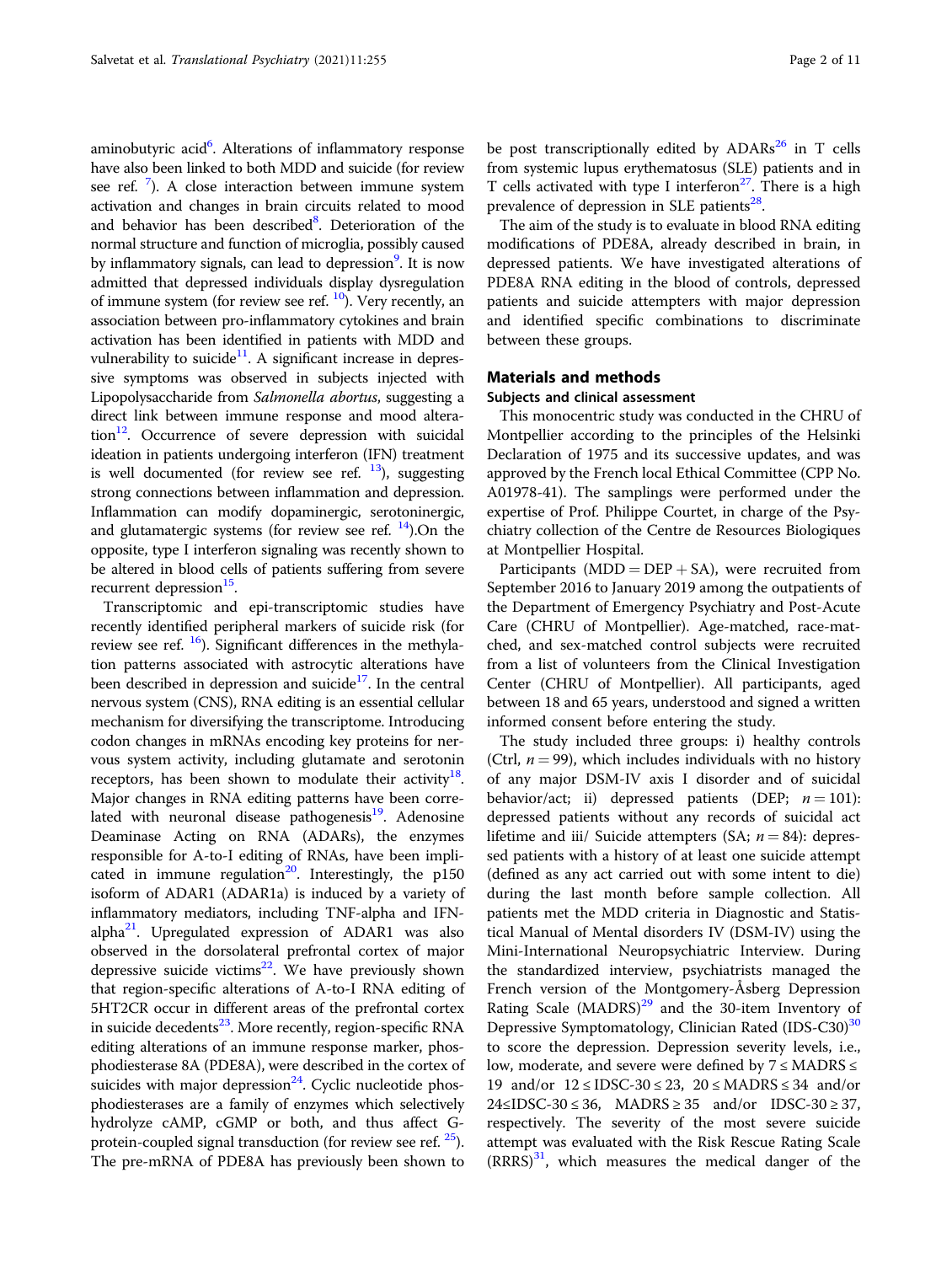aminobutyric acid<sup>6</sup>. Alterations of inflammatory response have also been linked to both MDD and suicide (for review see ref.<sup>[7](#page-9-0)</sup>). A close interaction between immune system activation and changes in brain circuits related to mood and behavior has been described<sup>[8](#page-9-0)</sup>. Deterioration of the normal structure and function of microglia, possibly caused by inflammatory signals, can lead to depression<sup>9</sup>. It is now admitted that depressed individuals display dysregulation of immune system (for review see ref.  $^{10}$  $^{10}$  $^{10}$ ). Very recently, an association between pro-inflammatory cytokines and brain activation has been identified in patients with MDD and vulnerability to suicide<sup>11</sup>. A significant increase in depressive symptoms was observed in subjects injected with Lipopolysaccharide from Salmonella abortus, suggesting a direct link between immune response and mood altera- $\[\text{tion}\]^{12}$ . Occurrence of severe depression with suicidal ideation in patients undergoing interferon (IFN) treatment is well documented (for review see ref.  $\frac{13}{2}$ ), suggesting strong connections between inflammation and depression. Inflammation can modify dopaminergic, serotoninergic, and glutamatergic systems (for review see ref.  $^{14}$  $^{14}$  $^{14}$ ).On the opposite, type I interferon signaling was recently shown to be altered in blood cells of patients suffering from severe recurrent depression<sup>15</sup>.

Transcriptomic and epi-transcriptomic studies have recently identified peripheral markers of suicide risk (for review see ref.  $^{16}$ ). Significant differences in the methylation patterns associated with astrocytic alterations have been described in depression and suicide $17$ . In the central nervous system (CNS), RNA editing is an essential cellular mechanism for diversifying the transcriptome. Introducing codon changes in mRNAs encoding key proteins for nervous system activity, including glutamate and serotonin receptors, has been shown to modulate their activity<sup>18</sup>. Major changes in RNA editing patterns have been correlated with neuronal disease pathogenesis $19$ . Adenosine Deaminase Acting on RNA (ADARs), the enzymes responsible for A-to-I editing of RNAs, have been implicated in immune regulation<sup>20</sup>. Interestingly, the  $p150$ isoform of ADAR1 (ADAR1a) is induced by a variety of inflammatory mediators, including TNF-alpha and IFNalpha<sup>21</sup>. Upregulated expression of ADAR1 was also observed in the dorsolateral prefrontal cortex of major depressive suicide victims $22$ . We have previously shown that region-specific alterations of A-to-I RNA editing of 5HT2CR occur in different areas of the prefrontal cortex in suicide decedents<sup>[23](#page-10-0)</sup>. More recently, region-specific RNA editing alterations of an immune response marker, phosphodiesterase 8A (PDE8A), were described in the cortex of suicides with major depression $^{24}$ . Cyclic nucleotide phosphodiesterases are a family of enzymes which selectively hydrolyze cAMP, cGMP or both, and thus affect Gprotein-coupled signal transduction (for review see ref.  $25$ ). The pre-mRNA of PDE8A has previously been shown to be post transcriptionally edited by  $ADARs^{26}$  in T cells from systemic lupus erythematosus (SLE) patients and in T cells activated with type I interferon<sup>27</sup>. There is a high prevalence of depression in SLE patients $^{28}$ .

The aim of the study is to evaluate in blood RNA editing modifications of PDE8A, already described in brain, in depressed patients. We have investigated alterations of PDE8A RNA editing in the blood of controls, depressed patients and suicide attempters with major depression and identified specific combinations to discriminate between these groups.

#### Materials and methods

#### Subjects and clinical assessment

This monocentric study was conducted in the CHRU of Montpellier according to the principles of the Helsinki Declaration of 1975 and its successive updates, and was approved by the French local Ethical Committee (CPP No. A01978-41). The samplings were performed under the expertise of Prof. Philippe Courtet, in charge of the Psychiatry collection of the Centre de Resources Biologiques at Montpellier Hospital.

Participants ( $MDD = DEP + SA$ ), were recruited from September 2016 to January 2019 among the outpatients of the Department of Emergency Psychiatry and Post-Acute Care (CHRU of Montpellier). Age-matched, race-matched, and sex-matched control subjects were recruited from a list of volunteers from the Clinical Investigation Center (CHRU of Montpellier). All participants, aged between 18 and 65 years, understood and signed a written informed consent before entering the study.

The study included three groups: i) healthy controls (Ctrl,  $n = 99$ ), which includes individuals with no history of any major DSM-IV axis I disorder and of suicidal behavior/act; ii) depressed patients (DEP;  $n = 101$ ): depressed patients without any records of suicidal act lifetime and iii/ Suicide attempters (SA;  $n = 84$ ): depressed patients with a history of at least one suicide attempt (defined as any act carried out with some intent to die) during the last month before sample collection. All patients met the MDD criteria in Diagnostic and Statistical Manual of Mental disorders IV (DSM-IV) using the Mini-International Neuropsychiatric Interview. During the standardized interview, psychiatrists managed the French version of the Montgomery-Åsberg Depression Rating Scale  $(MADRS)^{29}$  $(MADRS)^{29}$  $(MADRS)^{29}$  and the 30-item Inventory of Depressive Symptomatology, Clinician Rated (IDS-C[30](#page-10-0))<sup>30</sup> to score the depression. Depression severity levels, i.e., low, moderate, and severe were defined by  $7 \leq MADRS \leq$ 19 and/or 12 ≤ IDSC-30 ≤ 23, 20 ≤ MADRS ≤ 34 and/or  $24 \leq \text{IDSC-30} \leq 36$ ,  $\text{MADRS} \geq 35$  and/or  $\text{IDSC-30} \geq 37$ , respectively. The severity of the most severe suicide attempt was evaluated with the Risk Rescue Rating Scale  $(RRRS)^{31}$  $(RRRS)^{31}$  $(RRRS)^{31}$ , which measures the medical danger of the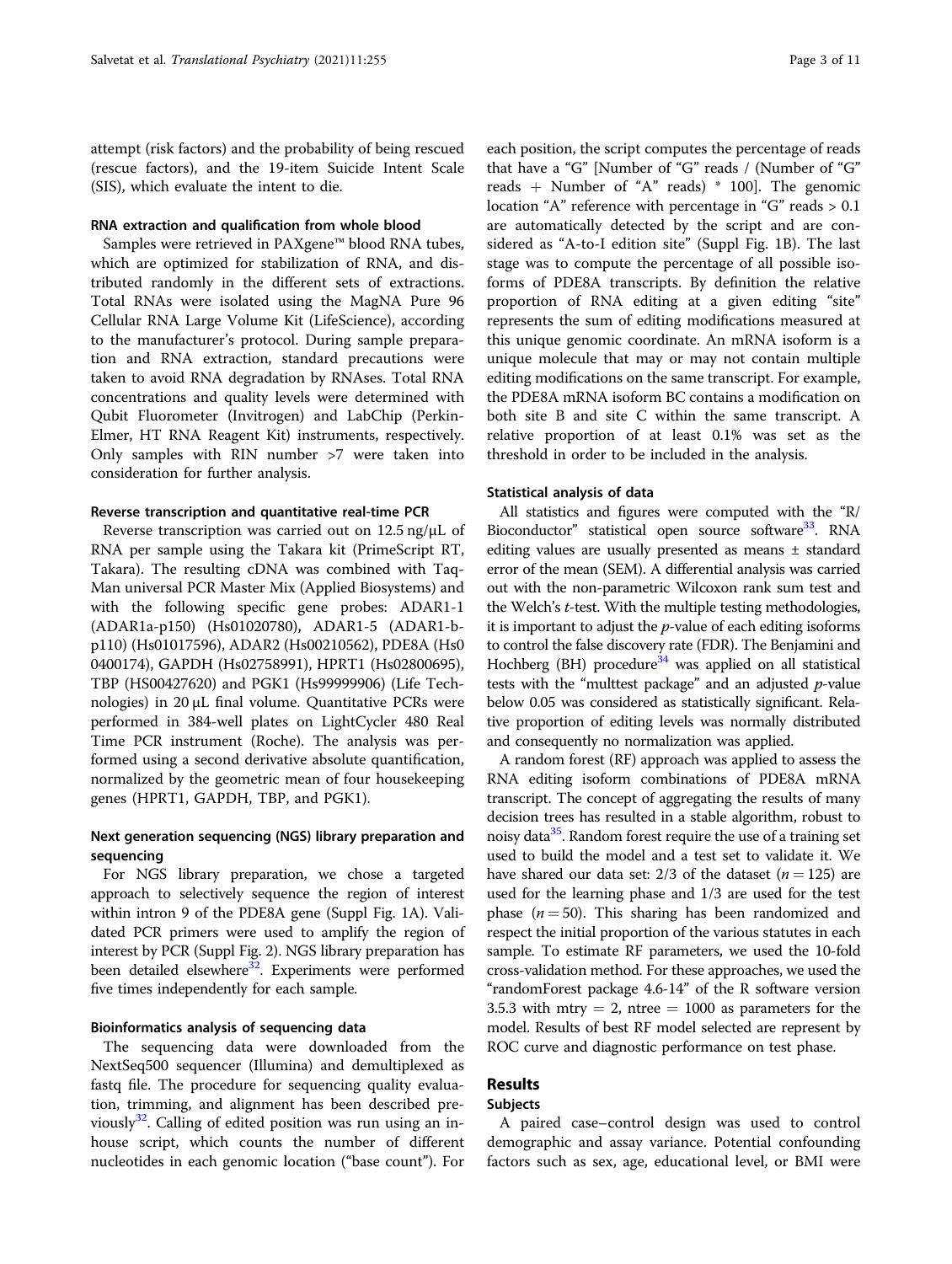attempt (risk factors) and the probability of being rescued (rescue factors), and the 19-item Suicide Intent Scale (SIS), which evaluate the intent to die.

#### RNA extraction and qualification from whole blood

Samples were retrieved in PAXgene™ blood RNA tubes, which are optimized for stabilization of RNA, and distributed randomly in the different sets of extractions. Total RNAs were isolated using the MagNA Pure 96 Cellular RNA Large Volume Kit (LifeScience), according to the manufacturer's protocol. During sample preparation and RNA extraction, standard precautions were taken to avoid RNA degradation by RNAses. Total RNA concentrations and quality levels were determined with Qubit Fluorometer (Invitrogen) and LabChip (Perkin-Elmer, HT RNA Reagent Kit) instruments, respectively. Only samples with RIN number >7 were taken into consideration for further analysis.

#### Reverse transcription and quantitative real-time PCR

Reverse transcription was carried out on  $12.5$  ng/ $\mu$ L of RNA per sample using the Takara kit (PrimeScript RT, Takara). The resulting cDNA was combined with Taq-Man universal PCR Master Mix (Applied Biosystems) and with the following specific gene probes: ADAR1-1 (ADAR1a-p150) (Hs01020780), ADAR1-5 (ADAR1-bp110) (Hs01017596), ADAR2 (Hs00210562), PDE8A (Hs0 0400174), GAPDH (Hs02758991), HPRT1 (Hs02800695), TBP (HS00427620) and PGK1 (Hs99999906) (Life Technologies) in  $20 \mu L$  final volume. Quantitative PCRs were performed in 384-well plates on LightCycler 480 Real Time PCR instrument (Roche). The analysis was performed using a second derivative absolute quantification, normalized by the geometric mean of four housekeeping genes (HPRT1, GAPDH, TBP, and PGK1).

#### Next generation sequencing (NGS) library preparation and sequencing

For NGS library preparation, we chose a targeted approach to selectively sequence the region of interest within intron 9 of the PDE8A gene (Suppl Fig. 1A). Validated PCR primers were used to amplify the region of interest by PCR (Suppl Fig. 2). NGS library preparation has been detailed elsewhere<sup>32</sup>. Experiments were performed five times independently for each sample.

#### Bioinformatics analysis of sequencing data

The sequencing data were downloaded from the NextSeq500 sequencer (Illumina) and demultiplexed as fastq file. The procedure for sequencing quality evaluation, trimming, and alignment has been described previously $32$ . Calling of edited position was run using an inhouse script, which counts the number of different nucleotides in each genomic location ("base count"). For

each position, the script computes the percentage of reads that have a "G" [Number of "G" reads / (Number of "G" reads + Number of "A" reads)  $*$  100]. The genomic location "A" reference with percentage in "G" reads > 0.1 are automatically detected by the script and are considered as "A-to-I edition site" (Suppl Fig. 1B). The last stage was to compute the percentage of all possible isoforms of PDE8A transcripts. By definition the relative proportion of RNA editing at a given editing "site" represents the sum of editing modifications measured at this unique genomic coordinate. An mRNA isoform is a unique molecule that may or may not contain multiple editing modifications on the same transcript. For example, the PDE8A mRNA isoform BC contains a modification on both site B and site C within the same transcript. A relative proportion of at least 0.1% was set as the threshold in order to be included in the analysis.

#### Statistical analysis of data

All statistics and figures were computed with the "R/ Bioconductor" statistical open source software<sup>33</sup>. RNA editing values are usually presented as means ± standard error of the mean (SEM). A differential analysis was carried out with the non-parametric Wilcoxon rank sum test and the Welch's t-test. With the multiple testing methodologies, it is important to adjust the  $p$ -value of each editing isoforms to control the false discovery rate (FDR). The Benjamini and Hochberg (BH) procedure $34$  was applied on all statistical tests with the "multtest package" and an adjusted  $p$ -value below 0.05 was considered as statistically significant. Relative proportion of editing levels was normally distributed and consequently no normalization was applied.

A random forest (RF) approach was applied to assess the RNA editing isoform combinations of PDE8A mRNA transcript. The concept of aggregating the results of many decision trees has resulted in a stable algorithm, robust to noisy data<sup>35</sup>. Random forest require the use of a training set used to build the model and a test set to validate it. We have shared our data set: 2/3 of the dataset ( $n = 125$ ) are used for the learning phase and 1/3 are used for the test phase  $(n = 50)$ . This sharing has been randomized and respect the initial proportion of the various statutes in each sample. To estimate RF parameters, we used the 10-fold cross-validation method. For these approaches, we used the "randomForest package 4.6-14" of the R software version 3.5.3 with mtry  $= 2$ , ntree  $= 1000$  as parameters for the model. Results of best RF model selected are represent by ROC curve and diagnostic performance on test phase.

#### Results

#### Subjects

A paired case–control design was used to control demographic and assay variance. Potential confounding factors such as sex, age, educational level, or BMI were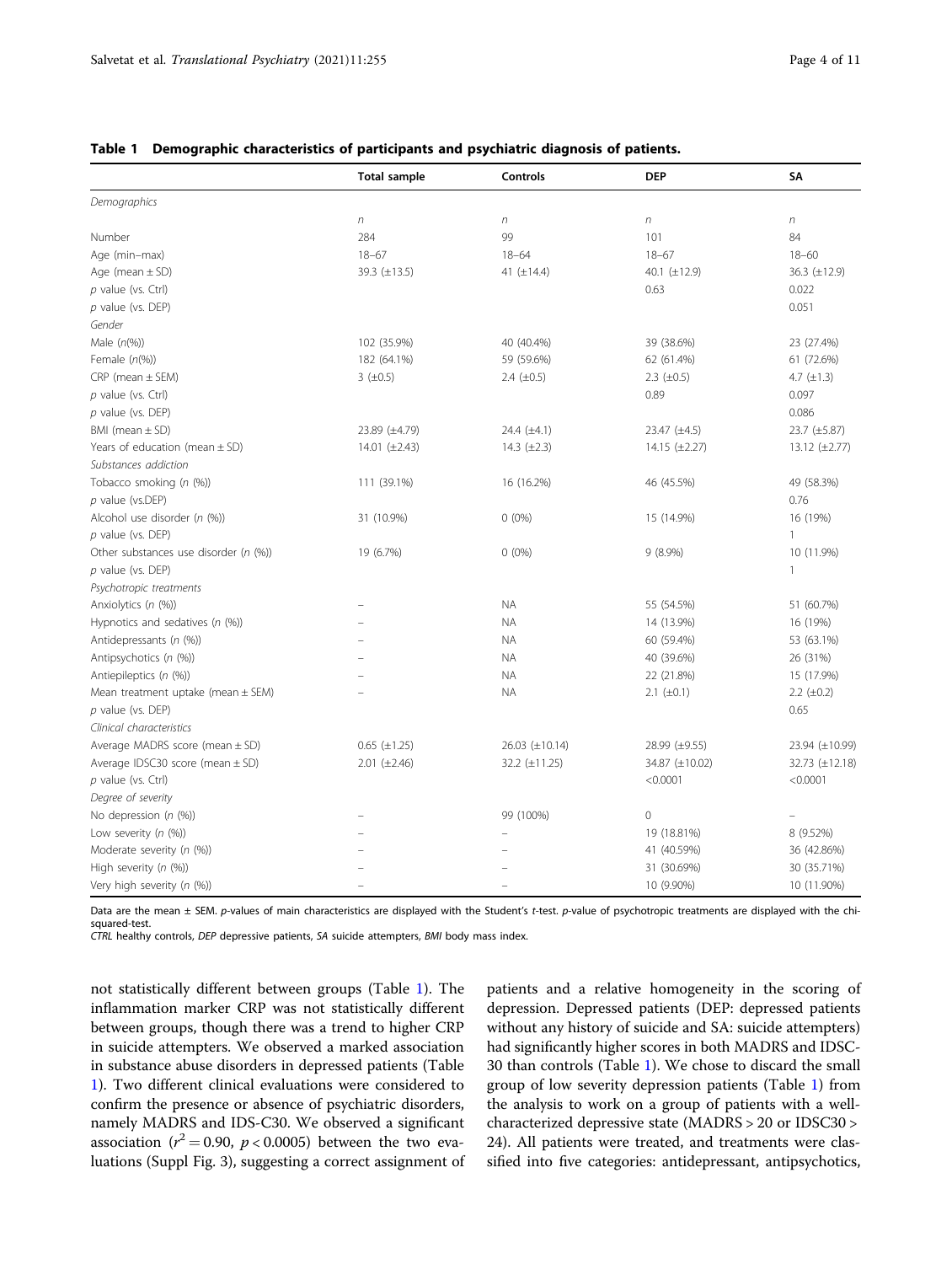|                                        | <b>Total sample</b> | Controls         | <b>DEP</b>         | SA                 |
|----------------------------------------|---------------------|------------------|--------------------|--------------------|
| Demographics                           |                     |                  |                    |                    |
|                                        | $\eta$              | $\boldsymbol{n}$ | $\boldsymbol{n}$   | $\boldsymbol{n}$   |
| Number                                 | 284                 | 99               | 101                | 84                 |
| Age (min-max)                          | $18 - 67$           | $18 - 64$        | $18 - 67$          | $18 - 60$          |
| Age (mean $\pm$ SD)                    | 39.3 (±13.5)        | 41 $(\pm 14.4)$  | 40.1 (±12.9)       | 36.3 (±12.9)       |
| $p$ value (vs. Ctrl)                   |                     |                  | 0.63               | 0.022              |
| p value (vs. DEP)                      |                     |                  |                    | 0.051              |
| Gender                                 |                     |                  |                    |                    |
| Male $(n(\%))$                         | 102 (35.9%)         | 40 (40.4%)       | 39 (38.6%)         | 23 (27.4%)         |
| Female $(n(\%))$                       | 182 (64.1%)         | 59 (59.6%)       | 62 (61.4%)         | 61 (72.6%)         |
| $CRP$ (mean $\pm$ SEM)                 | $3(+0.5)$           | 2.4 $(\pm 0.5)$  | 2.3 $(\pm 0.5)$    | 4.7 $(\pm 1.3)$    |
| p value (vs. Ctrl)                     |                     |                  | 0.89               | 0.097              |
| $p$ value (vs. DEP)                    |                     |                  |                    | 0.086              |
| BMI (mean $\pm$ SD)                    | 23.89 (±4.79)       | 24.4 $(\pm 4.1)$ | $23.47 (\pm 4.5)$  | 23.7 (±5.87)       |
| Years of education (mean $\pm$ SD)     | 14.01 $(\pm 2.43)$  | 14.3 $(\pm 2.3)$ | 14.15 $(\pm 2.27)$ | 13.12 $(\pm 2.77)$ |
| Substances addiction                   |                     |                  |                    |                    |
| Tobacco smoking (n (%))                | 111 (39.1%)         | 16 (16.2%)       | 46 (45.5%)         | 49 (58.3%)         |
| $p$ value (vs.DEP)                     |                     |                  |                    | 0.76               |
| Alcohol use disorder (n (%))           | 31 (10.9%)          | $0(0\%)$         | 15 (14.9%)         | 16 (19%)           |
| p value (vs. DEP)                      |                     |                  |                    | 1                  |
| Other substances use disorder (n (%))  | 19 (6.7%)           | $0(0\%)$         | $9(8.9\%)$         | 10 (11.9%)         |
| $p$ value (vs. DEP)                    |                     |                  |                    | $\mathbf{1}$       |
| Psychotropic treatments                |                     |                  |                    |                    |
| Anxiolytics (n (%))                    |                     | <b>NA</b>        | 55 (54.5%)         | 51 (60.7%)         |
| Hypnotics and sedatives (n (%))        |                     | <b>NA</b>        | 14 (13.9%)         | 16 (19%)           |
| Antidepressants (n (%))                |                     | <b>NA</b>        | 60 (59.4%)         | 53 (63.1%)         |
| Antipsychotics (n (%))                 |                     | <b>NA</b>        | 40 (39.6%)         | 26 (31%)           |
| Antiepileptics (n (%))                 |                     | <b>NA</b>        | 22 (21.8%)         | 15 (17.9%)         |
| Mean treatment uptake (mean $\pm$ SEM) |                     | <b>NA</b>        | 2.1 $(\pm 0.1)$    | 2.2 $(\pm 0.2)$    |
| $p$ value (vs. DEP)                    |                     |                  |                    | 0.65               |
| Clinical characteristics               |                     |                  |                    |                    |
| Average MADRS score (mean $\pm$ SD)    | $0.65 (\pm 1.25)$   | 26.03 (±10.14)   | 28.99 (±9.55)      | 23.94 (±10.99)     |
| Average IDSC30 score (mean $\pm$ SD)   | $2.01 (\pm 2.46)$   | 32.2 (±11.25)    | 34.87 (±10.02)     | 32.73 (±12.18)     |
| $p$ value (vs. Ctrl)                   |                     |                  | < 0.0001           | < 0.0001           |
| Degree of severity                     |                     |                  |                    |                    |
| No depression $(n \, (%))$             |                     | 99 (100%)        | 0                  |                    |
| Low severity $(n \, (%)$               |                     |                  | 19 (18.81%)        | 8 (9.52%)          |
| Moderate severity (n (%))              |                     |                  | 41 (40.59%)        | 36 (42.86%)        |
| High severity (n (%))                  |                     |                  | 31 (30.69%)        | 30 (35.71%)        |
| Very high severity (n (%))             |                     |                  | 10 (9.90%)         | 10 (11.90%)        |

#### <span id="page-3-0"></span>Table 1 Demographic characteristics of participants and psychiatric diagnosis of patients.

Data are the mean ± SEM. p-values of main characteristics are displayed with the Student's t-test. p-value of psychotropic treatments are displayed with the chisquared-test.

CTRL healthy controls, DEP depressive patients, SA suicide attempters, BMI body mass index.

not statistically different between groups (Table 1). The inflammation marker CRP was not statistically different between groups, though there was a trend to higher CRP in suicide attempters. We observed a marked association in substance abuse disorders in depressed patients (Table 1). Two different clinical evaluations were considered to confirm the presence or absence of psychiatric disorders, namely MADRS and IDS-C30. We observed a significant association ( $r^2$  = 0.90,  $p$  < 0.0005) between the two evaluations (Suppl Fig. 3), suggesting a correct assignment of patients and a relative homogeneity in the scoring of depression. Depressed patients (DEP: depressed patients without any history of suicide and SA: suicide attempters) had significantly higher scores in both MADRS and IDSC-30 than controls (Table 1). We chose to discard the small group of low severity depression patients (Table 1) from the analysis to work on a group of patients with a wellcharacterized depressive state (MADRS > 20 or IDSC30 > 24). All patients were treated, and treatments were classified into five categories: antidepressant, antipsychotics,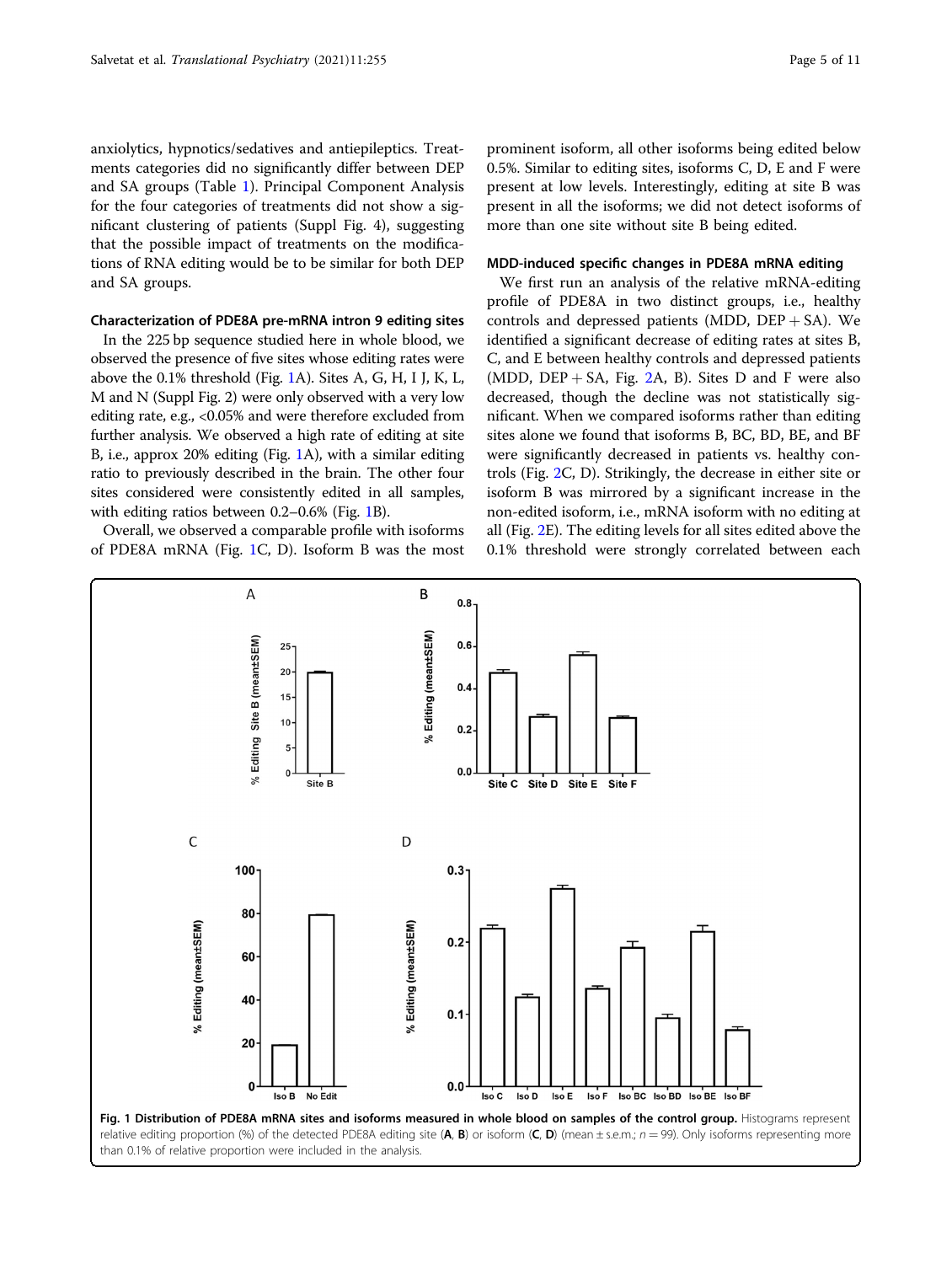anxiolytics, hypnotics/sedatives and antiepileptics. Treatments categories did no significantly differ between DEP and SA groups (Table [1](#page-3-0)). Principal Component Analysis for the four categories of treatments did not show a significant clustering of patients (Suppl Fig. 4), suggesting that the possible impact of treatments on the modifications of RNA editing would be to be similar for both DEP and SA groups.

#### Characterization of PDE8A pre-mRNA intron 9 editing sites

In the 225 bp sequence studied here in whole blood, we observed the presence of five sites whose editing rates were above the 0.1% threshold (Fig. 1A). Sites A, G, H, I J, K, L, M and N (Suppl Fig. 2) were only observed with a very low editing rate, e.g., <0.05% and were therefore excluded from further analysis. We observed a high rate of editing at site B, i.e., approx 20% editing (Fig. 1A), with a similar editing ratio to previously described in the brain. The other four sites considered were consistently edited in all samples, with editing ratios between 0.2–0.6% (Fig. 1B).

Overall, we observed a comparable profile with isoforms of PDE8A mRNA (Fig. 1C, D). Isoform B was the most

prominent isoform, all other isoforms being edited below 0.5%. Similar to editing sites, isoforms C, D, E and F were present at low levels. Interestingly, editing at site B was present in all the isoforms; we did not detect isoforms of more than one site without site B being edited.

#### MDD-induced specific changes in PDE8A mRNA editing

We first run an analysis of the relative mRNA-editing profile of PDE8A in two distinct groups, i.e., healthy controls and depressed patients (MDD,  $DEF + SA$ ). We identified a significant decrease of editing rates at sites B, C, and E between healthy controls and depressed patients (MDD, DEP  $+$  SA, Fig. [2A](#page-5-0), B). Sites D and F were also decreased, though the decline was not statistically significant. When we compared isoforms rather than editing sites alone we found that isoforms B, BC, BD, BE, and BF were significantly decreased in patients vs. healthy controls (Fig. [2](#page-5-0)C, D). Strikingly, the decrease in either site or isoform B was mirrored by a significant increase in the non-edited isoform, i.e., mRNA isoform with no editing at all (Fig. [2](#page-5-0)E). The editing levels for all sites edited above the 0.1% threshold were strongly correlated between each

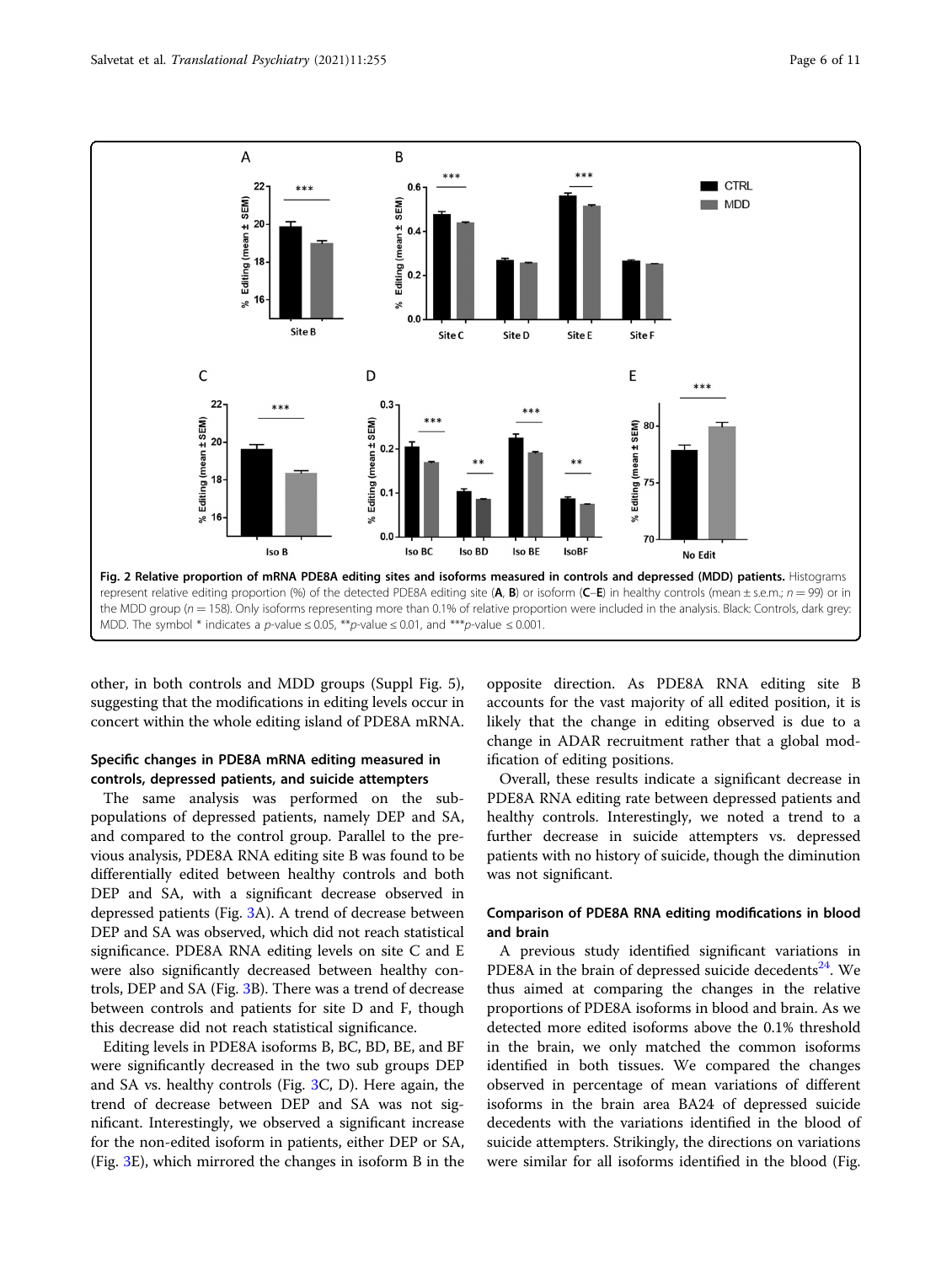<span id="page-5-0"></span>

other, in both controls and MDD groups (Suppl Fig. 5), suggesting that the modifications in editing levels occur in concert within the whole editing island of PDE8A mRNA.

#### Specific changes in PDE8A mRNA editing measured in controls, depressed patients, and suicide attempters

The same analysis was performed on the subpopulations of depressed patients, namely DEP and SA, and compared to the control group. Parallel to the previous analysis, PDE8A RNA editing site B was found to be differentially edited between healthy controls and both DEP and SA, with a significant decrease observed in depressed patients (Fig. [3](#page-6-0)A). A trend of decrease between DEP and SA was observed, which did not reach statistical significance. PDE8A RNA editing levels on site C and E were also significantly decreased between healthy controls, DEP and SA (Fig. [3B](#page-6-0)). There was a trend of decrease between controls and patients for site D and F, though this decrease did not reach statistical significance.

Editing levels in PDE8A isoforms B, BC, BD, BE, and BF were significantly decreased in the two sub groups DEP and SA vs. healthy controls (Fig. [3](#page-6-0)C, D). Here again, the trend of decrease between DEP and SA was not significant. Interestingly, we observed a significant increase for the non-edited isoform in patients, either DEP or SA, (Fig. [3](#page-6-0)E), which mirrored the changes in isoform B in the

opposite direction. As PDE8A RNA editing site B accounts for the vast majority of all edited position, it is likely that the change in editing observed is due to a change in ADAR recruitment rather that a global modification of editing positions.

Overall, these results indicate a significant decrease in PDE8A RNA editing rate between depressed patients and healthy controls. Interestingly, we noted a trend to a further decrease in suicide attempters vs. depressed patients with no history of suicide, though the diminution was not significant.

### Comparison of PDE8A RNA editing modifications in blood and brain

A previous study identified significant variations in PDE8A in the brain of depressed suicide decedents $^{24}$  $^{24}$  $^{24}$ . We thus aimed at comparing the changes in the relative proportions of PDE8A isoforms in blood and brain. As we detected more edited isoforms above the 0.1% threshold in the brain, we only matched the common isoforms identified in both tissues. We compared the changes observed in percentage of mean variations of different isoforms in the brain area BA24 of depressed suicide decedents with the variations identified in the blood of suicide attempters. Strikingly, the directions on variations were similar for all isoforms identified in the blood (Fig.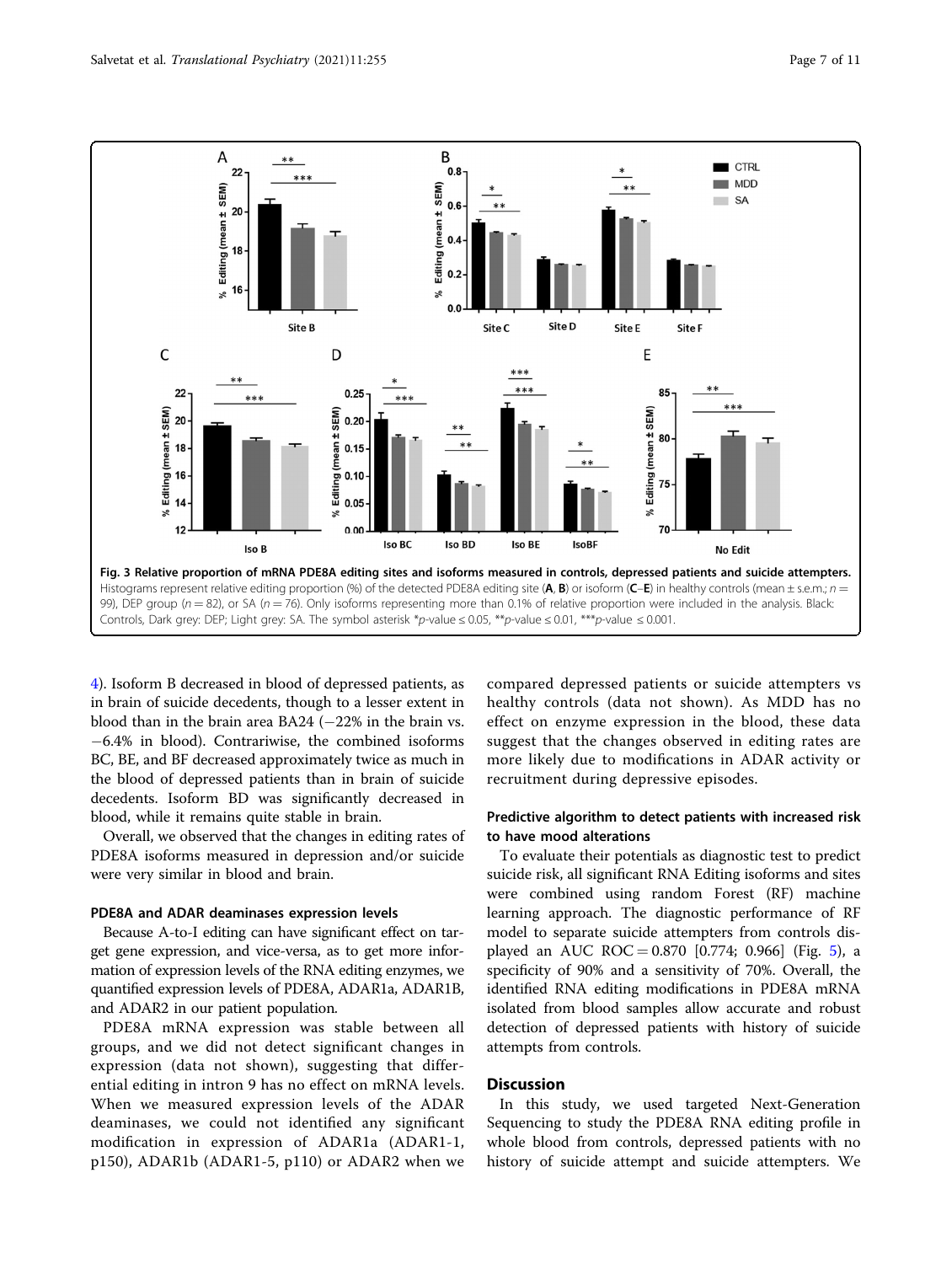<span id="page-6-0"></span>

[4\)](#page-7-0). Isoform B decreased in blood of depressed patients, as in brain of suicide decedents, though to a lesser extent in blood than in the brain area BA24 (−22% in the brain vs. −6.4% in blood). Contrariwise, the combined isoforms BC, BE, and BF decreased approximately twice as much in the blood of depressed patients than in brain of suicide decedents. Isoform BD was significantly decreased in blood, while it remains quite stable in brain.

Overall, we observed that the changes in editing rates of PDE8A isoforms measured in depression and/or suicide were very similar in blood and brain.

#### PDE8A and ADAR deaminases expression levels

Because A-to-I editing can have significant effect on target gene expression, and vice-versa, as to get more information of expression levels of the RNA editing enzymes, we quantified expression levels of PDE8A, ADAR1a, ADAR1B, and ADAR2 in our patient population.

PDE8A mRNA expression was stable between all groups, and we did not detect significant changes in expression (data not shown), suggesting that differential editing in intron 9 has no effect on mRNA levels. When we measured expression levels of the ADAR deaminases, we could not identified any significant modification in expression of ADAR1a (ADAR1-1, p150), ADAR1b (ADAR1-5, p110) or ADAR2 when we

compared depressed patients or suicide attempters vs healthy controls (data not shown). As MDD has no effect on enzyme expression in the blood, these data suggest that the changes observed in editing rates are more likely due to modifications in ADAR activity or recruitment during depressive episodes.

#### Predictive algorithm to detect patients with increased risk to have mood alterations

To evaluate their potentials as diagnostic test to predict suicide risk, all significant RNA Editing isoforms and sites were combined using random Forest (RF) machine learning approach. The diagnostic performance of RF model to separate suicide attempters from controls displayed an AUC ROC =  $0.870$  [0.774; 0.966] (Fig. [5\)](#page-7-0), a specificity of 90% and a sensitivity of 70%. Overall, the identified RNA editing modifications in PDE8A mRNA isolated from blood samples allow accurate and robust detection of depressed patients with history of suicide attempts from controls.

#### **Discussion**

In this study, we used targeted Next-Generation Sequencing to study the PDE8A RNA editing profile in whole blood from controls, depressed patients with no history of suicide attempt and suicide attempters. We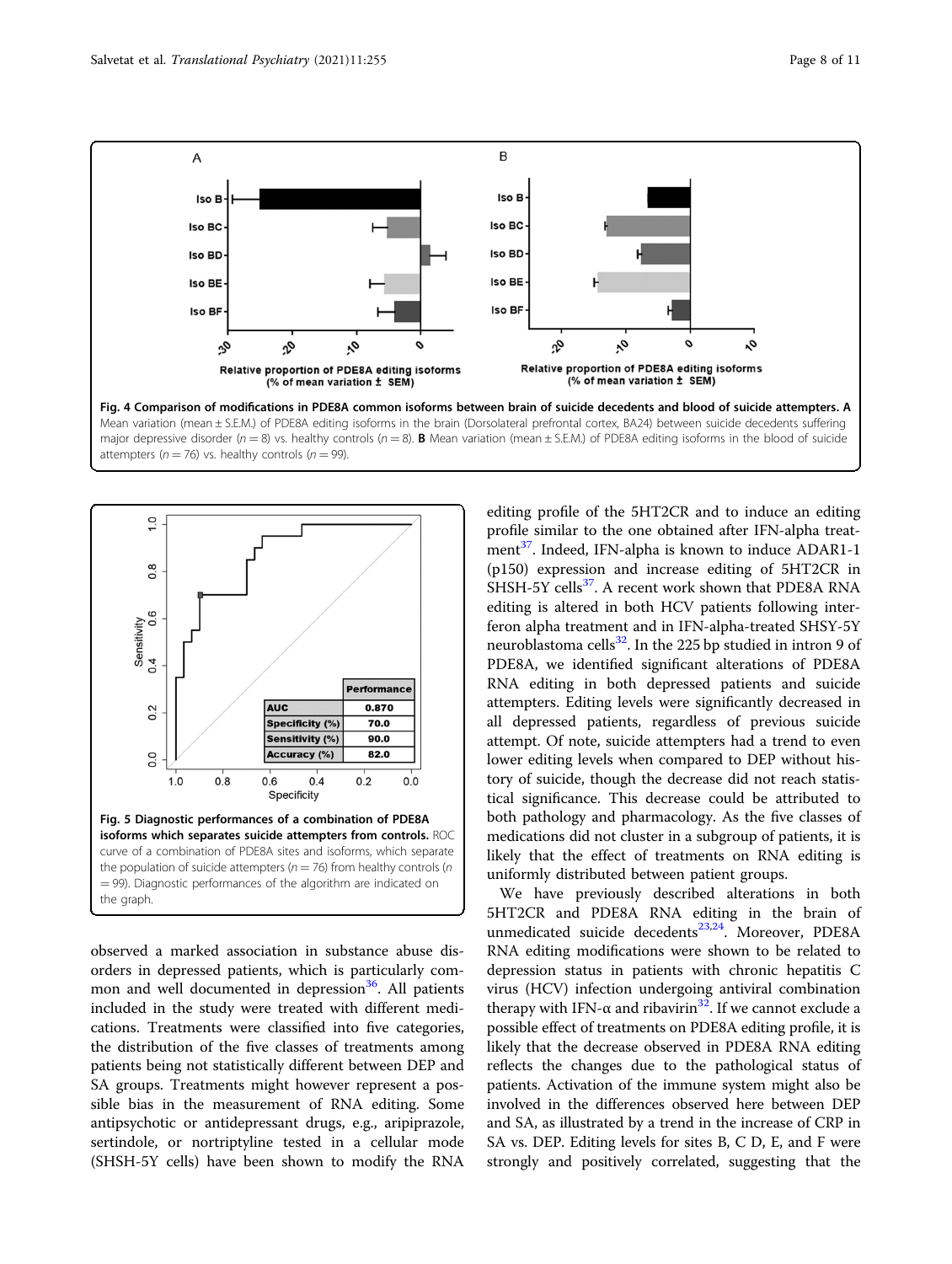<span id="page-7-0"></span>



observed a marked association in substance abuse disorders in depressed patients, which is particularly com-mon and well documented in depression<sup>[36](#page-10-0)</sup>. All patients included in the study were treated with different medications. Treatments were classified into five categories, the distribution of the five classes of treatments among patients being not statistically different between DEP and SA groups. Treatments might however represent a possible bias in the measurement of RNA editing. Some antipsychotic or antidepressant drugs, e.g., aripiprazole, sertindole, or nortriptyline tested in a cellular mode (SHSH-5Y cells) have been shown to modify the RNA

editing profile of the 5HT2CR and to induce an editing profile similar to the one obtained after IFN-alpha treat-ment<sup>[37](#page-10-0)</sup>. Indeed, IFN-alpha is known to induce ADAR1-1 (p150) expression and increase editing of 5HT2CR in SHSH-5Y cells<sup>37</sup>. A recent work shown that PDE8A RNA editing is altered in both HCV patients following interferon alpha treatment and in IFN-alpha-treated SHSY-5Y neuroblastoma cells $^{32}$  $^{32}$  $^{32}$ . In the 225 bp studied in intron 9 of PDE8A, we identified significant alterations of PDE8A RNA editing in both depressed patients and suicide attempters. Editing levels were significantly decreased in all depressed patients, regardless of previous suicide attempt. Of note, suicide attempters had a trend to even lower editing levels when compared to DEP without history of suicide, though the decrease did not reach statistical significance. This decrease could be attributed to both pathology and pharmacology. As the five classes of medications did not cluster in a subgroup of patients, it is likely that the effect of treatments on RNA editing is uniformly distributed between patient groups.

We have previously described alterations in both 5HT2CR and PDE8A RNA editing in the brain of unmedicated suicide decedents<sup>[23](#page-10-0),[24](#page-10-0)</sup>. Moreover, PDE8A RNA editing modifications were shown to be related to depression status in patients with chronic hepatitis C virus (HCV) infection undergoing antiviral combination therapy with IFN- $\alpha$  and ribavirin<sup>32</sup>. If we cannot exclude a possible effect of treatments on PDE8A editing profile, it is likely that the decrease observed in PDE8A RNA editing reflects the changes due to the pathological status of patients. Activation of the immune system might also be involved in the differences observed here between DEP and SA, as illustrated by a trend in the increase of CRP in SA vs. DEP. Editing levels for sites B, C D, E, and F were strongly and positively correlated, suggesting that the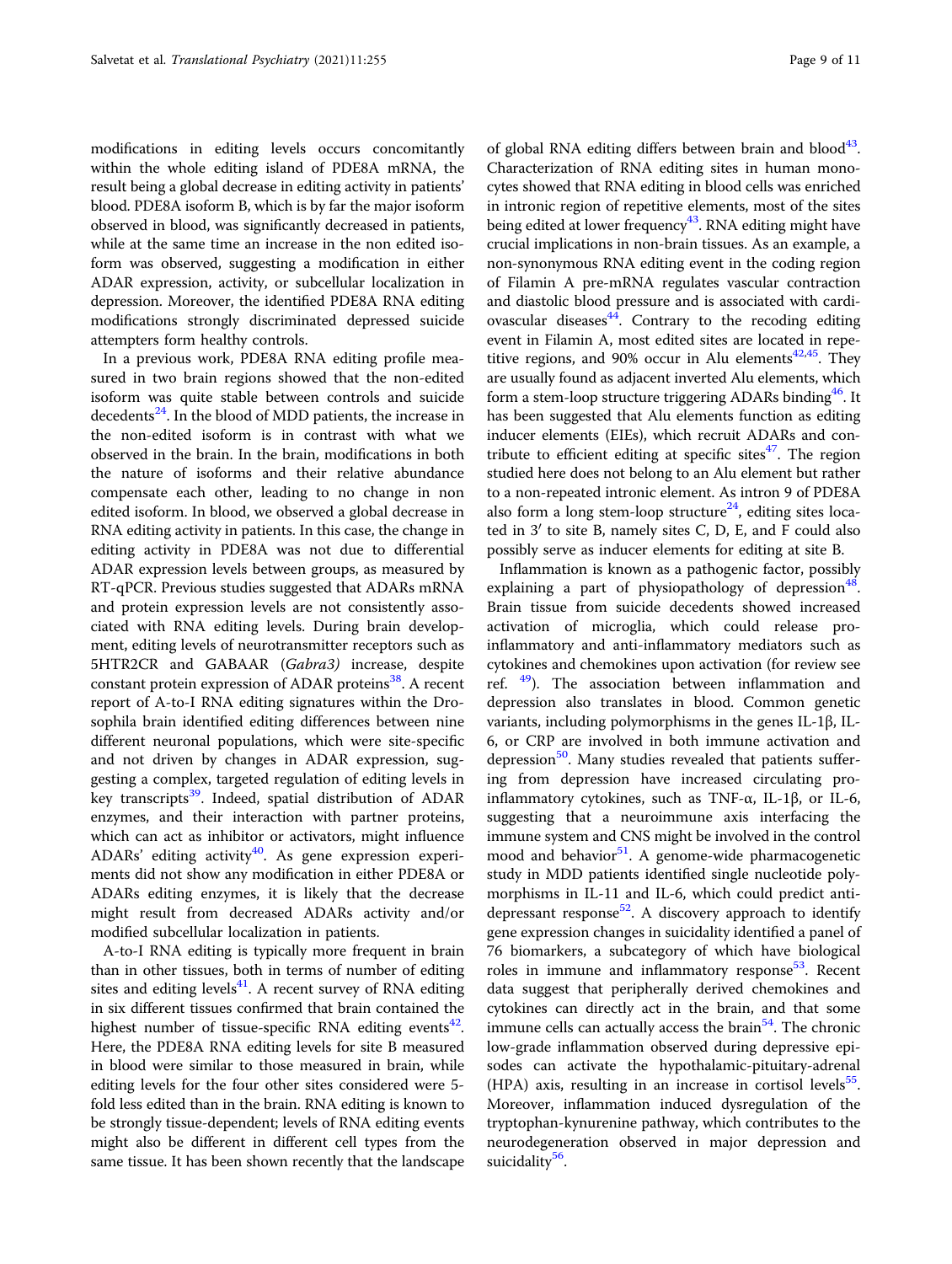modifications in editing levels occurs concomitantly within the whole editing island of PDE8A mRNA, the result being a global decrease in editing activity in patients' blood. PDE8A isoform B, which is by far the major isoform observed in blood, was significantly decreased in patients, while at the same time an increase in the non edited isoform was observed, suggesting a modification in either ADAR expression, activity, or subcellular localization in depression. Moreover, the identified PDE8A RNA editing modifications strongly discriminated depressed suicide attempters form healthy controls.

In a previous work, PDE8A RNA editing profile measured in two brain regions showed that the non-edited isoform was quite stable between controls and suicide decedents $^{24}$  $^{24}$  $^{24}$ . In the blood of MDD patients, the increase in the non-edited isoform is in contrast with what we observed in the brain. In the brain, modifications in both the nature of isoforms and their relative abundance compensate each other, leading to no change in non edited isoform. In blood, we observed a global decrease in RNA editing activity in patients. In this case, the change in editing activity in PDE8A was not due to differential ADAR expression levels between groups, as measured by RT-qPCR. Previous studies suggested that ADARs mRNA and protein expression levels are not consistently associated with RNA editing levels. During brain development, editing levels of neurotransmitter receptors such as 5HTR2CR and GABAAR (Gabra3) increase, despite constant protein expression of ADAR proteins<sup>[38](#page-10-0)</sup>. A recent report of A-to-I RNA editing signatures within the Drosophila brain identified editing differences between nine different neuronal populations, which were site-specific and not driven by changes in ADAR expression, suggesting a complex, targeted regulation of editing levels in key transcripts<sup>39</sup>. Indeed, spatial distribution of ADAR enzymes, and their interaction with partner proteins, which can act as inhibitor or activators, might influence ADARs' editing activity<sup>40</sup>. As gene expression experiments did not show any modification in either PDE8A or ADARs editing enzymes, it is likely that the decrease might result from decreased ADARs activity and/or modified subcellular localization in patients.

A-to-I RNA editing is typically more frequent in brain than in other tissues, both in terms of number of editing sites and editing levels $41$ . A recent survey of RNA editing in six different tissues confirmed that brain contained the highest number of tissue-specific RNA editing events $42$ . Here, the PDE8A RNA editing levels for site B measured in blood were similar to those measured in brain, while editing levels for the four other sites considered were 5 fold less edited than in the brain. RNA editing is known to be strongly tissue-dependent; levels of RNA editing events might also be different in different cell types from the same tissue. It has been shown recently that the landscape

of global RNA editing differs between brain and blood $43$ . Characterization of RNA editing sites in human monocytes showed that RNA editing in blood cells was enriched in intronic region of repetitive elements, most of the sites being edited at lower frequency<sup>[43](#page-10-0)</sup>. RNA editing might have crucial implications in non-brain tissues. As an example, a non-synonymous RNA editing event in the coding region of Filamin A pre-mRNA regulates vascular contraction and diastolic blood pressure and is associated with cardiovascular diseases<sup>44</sup>. Contrary to the recoding editing event in Filamin A, most edited sites are located in repetitive regions, and 90% occur in Alu elements<sup> $42,45$  $42,45$ </sup>. They are usually found as adjacent inverted Alu elements, which form a stem-loop structure triggering ADARs binding<sup>46</sup>. It has been suggested that Alu elements function as editing inducer elements (EIEs), which recruit ADARs and contribute to efficient editing at specific sites $47$ . The region studied here does not belong to an Alu element but rather to a non-repeated intronic element. As intron 9 of PDE8A also form a long stem-loop structure<sup>[24](#page-10-0)</sup>, editing sites located in 3′ to site B, namely sites C, D, E, and F could also possibly serve as inducer elements for editing at site B.

Inflammation is known as a pathogenic factor, possibly explaining a part of physiopathology of depression<sup>[48](#page-10-0)</sup>. Brain tissue from suicide decedents showed increased activation of microglia, which could release proinflammatory and anti-inflammatory mediators such as cytokines and chemokines upon activation (for review see ref.  $49$ ). The association between inflammation and depression also translates in blood. Common genetic variants, including polymorphisms in the genes IL-1β, IL-6, or CRP are involved in both immune activation and depression<sup>[50](#page-10-0)</sup>. Many studies revealed that patients suffering from depression have increased circulating proinflammatory cytokines, such as TNF-α, IL-1β, or IL-6, suggesting that a neuroimmune axis interfacing the immune system and CNS might be involved in the control mood and behavior $51$ . A genome-wide pharmacogenetic study in MDD patients identified single nucleotide polymorphisms in IL-11 and IL-6, which could predict antidepressant response<sup>52</sup>. A discovery approach to identify gene expression changes in suicidality identified a panel of 76 biomarkers, a subcategory of which have biological roles in immune and inflammatory response $53$ . Recent data suggest that peripherally derived chemokines and cytokines can directly act in the brain, and that some immune cells can actually access the brain $54$ . The chronic low-grade inflammation observed during depressive episodes can activate the hypothalamic-pituitary-adrenal (HPA) axis, resulting in an increase in cortisol levels $55$ . Moreover, inflammation induced dysregulation of the tryptophan-kynurenine pathway, which contributes to the neurodegeneration observed in major depression and suicidality<sup>56</sup>.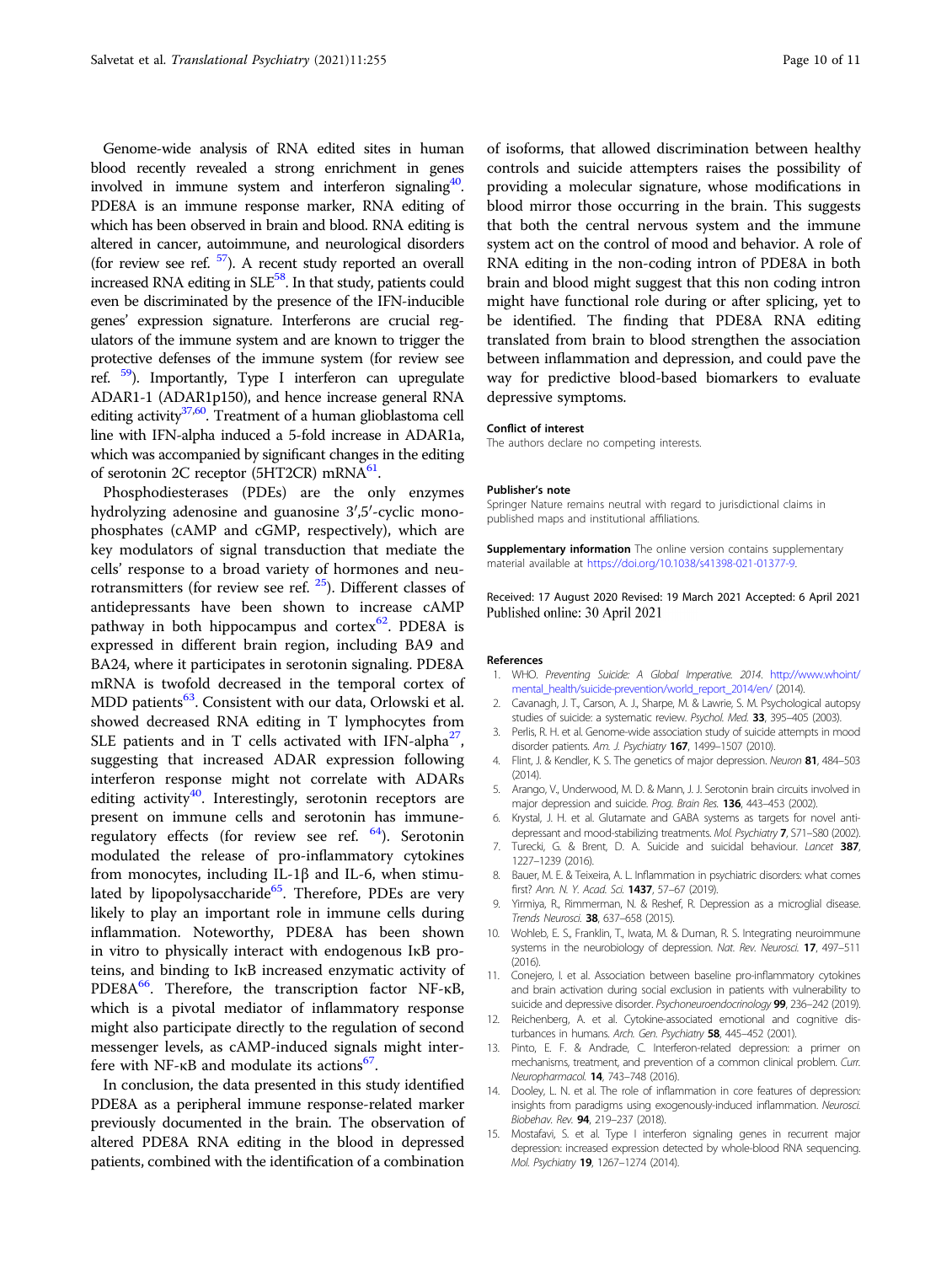<span id="page-9-0"></span>Genome-wide analysis of RNA edited sites in human blood recently revealed a strong enrichment in genes involved in immune system and interferon signaling<sup>40</sup>. PDE8A is an immune response marker, RNA editing of which has been observed in brain and blood. RNA editing is altered in cancer, autoimmune, and neurological disorders (for review see ref.  $\frac{57}{2}$  $\frac{57}{2}$  $\frac{57}{2}$ ). A recent study reported an overall increased RNA editing in  $SLE<sup>58</sup>$ . In that study, patients could even be discriminated by the presence of the IFN-inducible genes' expression signature. Interferons are crucial regulators of the immune system and are known to trigger the protective defenses of the immune system (for review see ref.  $\frac{59}{2}$  $\frac{59}{2}$  $\frac{59}{2}$ . Importantly, Type I interferon can upregulate ADAR1-1 (ADAR1p150), and hence increase general RNA editing activity<sup>37,60</sup>. Treatment of a human glioblastoma cell line with IFN-alpha induced a 5-fold increase in ADAR1a, which was accompanied by significant changes in the editing of serotonin 2C receptor (5HT2CR) mRNA $^{61}$ .

Phosphodiesterases (PDEs) are the only enzymes hydrolyzing adenosine and guanosine 3′,5′-cyclic monophosphates (cAMP and cGMP, respectively), which are key modulators of signal transduction that mediate the cells' response to a broad variety of hormones and neurotransmitters (for review see ref.  $25$ ). Different classes of antidepressants have been shown to increase cAMP pathway in both hippocampus and cortex $62$ . PDE8A is expressed in different brain region, including BA9 and BA24, where it participates in serotonin signaling. PDE8A mRNA is twofold decreased in the temporal cortex of MDD patients<sup>63</sup>. Consistent with our data, Orlowski et al. showed decreased RNA editing in T lymphocytes from SLE patients and in T cells activated with IFN-alpha<sup>[27](#page-10-0)</sup>, suggesting that increased ADAR expression following interferon response might not correlate with ADARs editing activity<sup>[40](#page-10-0)</sup>. Interestingly, serotonin receptors are present on immune cells and serotonin has immuneregulatory effects (for review see ref. [64\)](#page-10-0). Serotonin modulated the release of pro-inflammatory cytokines from monocytes, including IL-1β and IL-6, when stimulated by lipopolysaccharide<sup>65</sup>. Therefore, PDEs are very likely to play an important role in immune cells during inflammation. Noteworthy, PDE8A has been shown in vitro to physically interact with endogenous IκB proteins, and binding to IκB increased enzymatic activity of PDE8A $^{66}$ . Therefore, the transcription factor NF- $\kappa$ B, which is a pivotal mediator of inflammatory response might also participate directly to the regulation of second messenger levels, as cAMP-induced signals might interfere with NF- $\kappa$ B and modulate its actions<sup>67</sup>.

In conclusion, the data presented in this study identified PDE8A as a peripheral immune response-related marker previously documented in the brain. The observation of altered PDE8A RNA editing in the blood in depressed patients, combined with the identification of a combination of isoforms, that allowed discrimination between healthy controls and suicide attempters raises the possibility of providing a molecular signature, whose modifications in blood mirror those occurring in the brain. This suggests that both the central nervous system and the immune system act on the control of mood and behavior. A role of RNA editing in the non-coding intron of PDE8A in both brain and blood might suggest that this non coding intron might have functional role during or after splicing, yet to be identified. The finding that PDE8A RNA editing translated from brain to blood strengthen the association between inflammation and depression, and could pave the way for predictive blood-based biomarkers to evaluate depressive symptoms.

#### Conflict of interest

The authors declare no competing interests.

#### Publisher's note

Springer Nature remains neutral with regard to jurisdictional claims in published maps and institutional affiliations.

Supplementary information The online version contains supplementary material available at <https://doi.org/10.1038/s41398-021-01377-9>.

Received: 17 August 2020 Revised: 19 March 2021 Accepted: 6 April 2021 Published online: 30 April 2021

#### References

- 1. WHO. Preventing Suicide: A Global Imperative. 2014. [http://www.whoint/](http://www.whoint/mental_health/suicide-prevention/world_report_2014/en/) [mental\\_health/suicide-prevention/world\\_report\\_2014/en/](http://www.whoint/mental_health/suicide-prevention/world_report_2014/en/) (2014).
- 2. Cavanagh, J. T., Carson, A. J., Sharpe, M. & Lawrie, S. M. Psychological autopsy studies of suicide: a systematic review. Psychol. Med. 33, 395-405 (2003).
- Perlis, R. H. et al. Genome-wide association study of suicide attempts in mood disorder patients. Am. J. Psychiatry 167, 1499-1507 (2010).
- 4. Flint, J. & Kendler, K. S. The genetics of major depression. Neuron 81, 484-503 (2014).
- 5. Arango, V., Underwood, M. D. & Mann, J. J. Serotonin brain circuits involved in major depression and suicide. Prog. Brain Res. 136, 443-453 (2002).
- 6. Krystal, J. H. et al. Glutamate and GABA systems as targets for novel antidepressant and mood-stabilizing treatments. Mol. Psychiatry 7, S71-S80 (2002).
- 7. Turecki, G. & Brent, D. A. Suicide and suicidal behaviour. Lancet 387, 1227–1239 (2016).
- 8. Bauer, M. E. & Teixeira, A. L. Inflammation in psychiatric disorders: what comes first? Ann. N. Y. Acad. Sci. 1437, 57–67 (2019).
- 9. Yirmiya, R., Rimmerman, N. & Reshef, R. Depression as a microglial disease. Trends Neurosci. 38, 637-658 (2015).
- 10. Wohleb, E. S., Franklin, T., Iwata, M. & Duman, R. S. Integrating neuroimmune systems in the neurobiology of depression. Nat. Rev. Neurosci. 17, 497-511 (2016).
- 11. Conejero, I. et al. Association between baseline pro-inflammatory cytokines and brain activation during social exclusion in patients with vulnerability to suicide and depressive disorder. Psychoneuroendocrinology 99, 236-242 (2019).
- 12. Reichenberg, A. et al. Cytokine-associated emotional and cognitive disturbances in humans. Arch. Gen. Psychiatry 58, 445–452 (2001).
- 13. Pinto, E. F. & Andrade, C. Interferon-related depression: a primer on mechanisms, treatment, and prevention of a common clinical problem. Curr. Neuropharmacol. 14, 743-748 (2016).
- 14. Dooley, L. N. et al. The role of inflammation in core features of depression: insights from paradigms using exogenously-induced inflammation. Neurosci. Biobehav. Rev. 94, 219-237 (2018).
- 15. Mostafavi, S. et al. Type I interferon signaling genes in recurrent major depression: increased expression detected by whole-blood RNA sequencing. Mol. Psychiatry 19, 1267–1274 (2014).